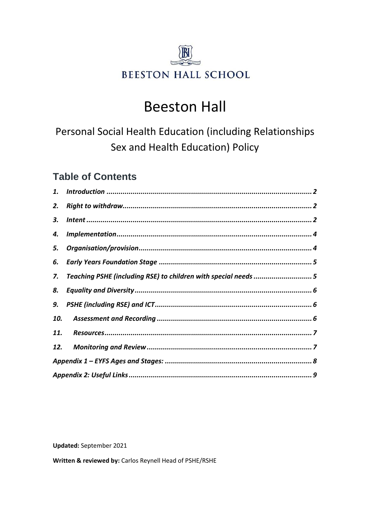

# **Beeston Hall**

Personal Social Health Education (including Relationships Sex and Health Education) Policy

# **Table of Contents**

| 2.  |                                                               |  |
|-----|---------------------------------------------------------------|--|
| 3.  |                                                               |  |
| 4.  |                                                               |  |
| 5.  |                                                               |  |
| 6.  |                                                               |  |
| 7.  | Teaching PSHE (including RSE) to children with special needs5 |  |
| 8.  |                                                               |  |
| 9.  |                                                               |  |
| 10. |                                                               |  |
| 11. |                                                               |  |
| 12. |                                                               |  |
|     |                                                               |  |
|     |                                                               |  |

**Updated:** September 2021

Written & reviewed by: Carlos Reynell Head of PSHE/RSHE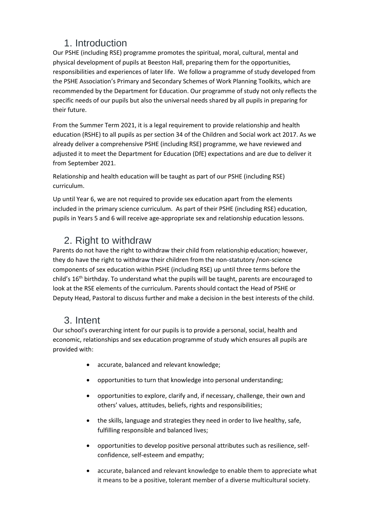### 1. Introduction

<span id="page-1-0"></span>Our PSHE (including RSE) programme promotes the spiritual, moral, cultural, mental and physical development of pupils at Beeston Hall, preparing them for the opportunities, responsibilities and experiences of later life. We follow a programme of study developed from the PSHE Association's Primary and Secondary Schemes of Work Planning Toolkits, which are recommended by the Department for Education. Our programme of study not only reflects the specific needs of our pupils but also the universal needs shared by all pupils in preparing for their future.

From the Summer Term 2021, it is a legal requirement to provide relationship and health education (RSHE) to all pupils as per section 34 of the Children and Social work act 2017. As we already deliver a comprehensive PSHE (including RSE) programme, we have reviewed and adjusted it to meet the Department for Education (DfE) expectations and are due to deliver it from September 2021.

Relationship and health education will be taught as part of our PSHE (including RSE) curriculum.

Up until Year 6, we are not required to provide sex education apart from the elements included in the primary science curriculum. As part of their PSHE (including RSE) education, pupils in Years 5 and 6 will receive age-appropriate sex and relationship education lessons.

# <span id="page-1-1"></span>2. Right to withdraw

Parents do not have the right to withdraw their child from relationship education; however, they do have the right to withdraw their children from the non-statutory /non-science components of sex education within PSHE (including RSE) up until three terms before the child's 16<sup>th</sup> birthday. To understand what the pupils will be taught, parents are encouraged to look at the RSE elements of the curriculum. Parents should contact the Head of PSHE or Deputy Head, Pastoral to discuss further and make a decision in the best interests of the child.

# <span id="page-1-2"></span>3. Intent

Our school's overarching intent for our pupils is to provide a personal, social, health and economic, relationships and sex education programme of study which ensures all pupils are provided with:

- accurate, balanced and relevant knowledge;
- opportunities to turn that knowledge into personal understanding;
- opportunities to explore, clarify and, if necessary, challenge, their own and others' values, attitudes, beliefs, rights and responsibilities;
- the skills, language and strategies they need in order to live healthy, safe, fulfilling responsible and balanced lives;
- opportunities to develop positive personal attributes such as resilience, selfconfidence, self-esteem and empathy;
- accurate, balanced and relevant knowledge to enable them to appreciate what it means to be a positive, tolerant member of a diverse multicultural society.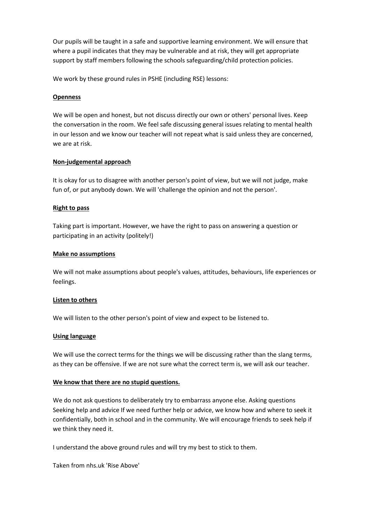Our pupils will be taught in a safe and supportive learning environment. We will ensure that where a pupil indicates that they may be vulnerable and at risk, they will get appropriate support by staff members following the schools safeguarding/child protection policies.

We work by these ground rules in PSHE (including RSE) lessons:

#### **Openness**

We will be open and honest, but not discuss directly our own or others' personal lives. Keep the conversation in the room. We feel safe discussing general issues relating to mental health in our lesson and we know our teacher will not repeat what is said unless they are concerned, we are at risk.

#### **Non-judgemental approach**

It is okay for us to disagree with another person's point of view, but we will not judge, make fun of, or put anybody down. We will 'challenge the opinion and not the person'.

#### **Right to pass**

Taking part is important. However, we have the right to pass on answering a question or participating in an activity (politely!)

#### **Make no assumptions**

We will not make assumptions about people's values, attitudes, behaviours, life experiences or feelings.

#### **Listen to others**

We will listen to the other person's point of view and expect to be listened to.

#### **Using language**

We will use the correct terms for the things we will be discussing rather than the slang terms, as they can be offensive. If we are not sure what the correct term is, we will ask our teacher.

#### **We know that there are no stupid questions.**

We do not ask questions to deliberately try to embarrass anyone else. Asking questions Seeking help and advice If we need further help or advice, we know how and where to seek it confidentially, both in school and in the community. We will encourage friends to seek help if we think they need it.

I understand the above ground rules and will try my best to stick to them.

Taken from nhs.uk 'Rise Above'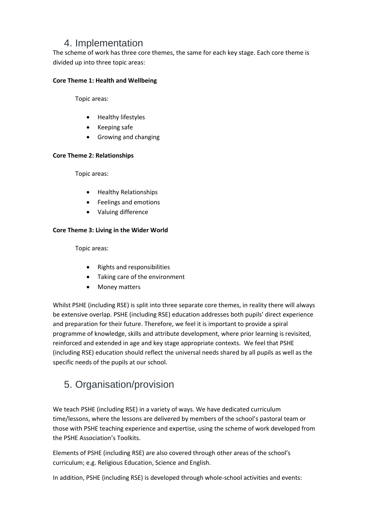### 4. Implementation

<span id="page-3-0"></span>The scheme of work has three core themes, the same for each key stage. Each core theme is divided up into three topic areas:

#### **Core Theme 1: Health and Wellbeing**

Topic areas:

- Healthy lifestyles
- Keeping safe
- Growing and changing

#### **Core Theme 2: Relationships**

Topic areas:

- Healthy Relationships
- Feelings and emotions
- Valuing difference

#### **Core Theme 3: Living in the Wider World**

Topic areas:

- Rights and responsibilities
- Taking care of the environment
- Money matters

Whilst PSHE (including RSE) is split into three separate core themes, in reality there will always be extensive overlap. PSHE (including RSE) education addresses both pupils' direct experience and preparation for their future. Therefore, we feel it is important to provide a spiral programme of knowledge, skills and attribute development, where prior learning is revisited, reinforced and extended in age and key stage appropriate contexts. We feel that PSHE (including RSE) education should reflect the universal needs shared by all pupils as well as the specific needs of the pupils at our school.

# <span id="page-3-1"></span>5. Organisation/provision

We teach PSHE (including RSE) in a variety of ways. We have dedicated curriculum time/lessons, where the lessons are delivered by members of the school's pastoral team or those with PSHE teaching experience and expertise, using the scheme of work developed from the PSHE Association's Toolkits.

Elements of PSHE (including RSE) are also covered through other areas of the school's curriculum; e.g. Religious Education, Science and English.

In addition, PSHE (including RSE) is developed through whole-school activities and events: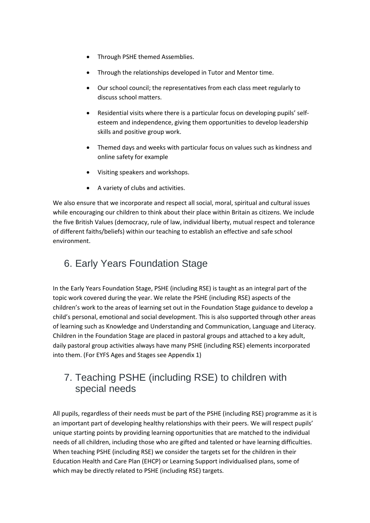- Through PSHE themed Assemblies.
- Through the relationships developed in Tutor and Mentor time.
- Our school council; the representatives from each class meet regularly to discuss school matters.
- Residential visits where there is a particular focus on developing pupils' selfesteem and independence, giving them opportunities to develop leadership skills and positive group work.
- Themed days and weeks with particular focus on values such as kindness and online safety for example
- Visiting speakers and workshops.
- A variety of clubs and activities.

We also ensure that we incorporate and respect all social, moral, spiritual and cultural issues while encouraging our children to think about their place within Britain as citizens. We include the five British Values (democracy, rule of law, individual liberty, mutual respect and tolerance of different faiths/beliefs) within our teaching to establish an effective and safe school environment.

# <span id="page-4-0"></span>6. Early Years Foundation Stage

In the Early Years Foundation Stage, PSHE (including RSE) is taught as an integral part of the topic work covered during the year. We relate the PSHE (including RSE) aspects of the children's work to the areas of learning set out in the Foundation Stage guidance to develop a child's personal, emotional and social development. This is also supported through other areas of learning such as Knowledge and Understanding and Communication, Language and Literacy. Children in the Foundation Stage are placed in pastoral groups and attached to a key adult, daily pastoral group activities always have many PSHE (including RSE) elements incorporated into them. (For EYFS Ages and Stages see Appendix 1)

### <span id="page-4-1"></span>7. Teaching PSHE (including RSE) to children with special needs

All pupils, regardless of their needs must be part of the PSHE (including RSE) programme as it is an important part of developing healthy relationships with their peers. We will respect pupils' unique starting points by providing learning opportunities that are matched to the individual needs of all children, including those who are gifted and talented or have learning difficulties. When teaching PSHE (including RSE) we consider the targets set for the children in their Education Health and Care Plan (EHCP) or Learning Support individualised plans, some of which may be directly related to PSHE (including RSE) targets.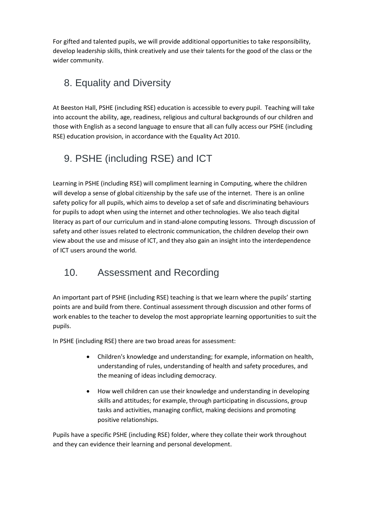For gifted and talented pupils, we will provide additional opportunities to take responsibility, develop leadership skills, think creatively and use their talents for the good of the class or the wider community.

# <span id="page-5-0"></span>8. Equality and Diversity

At Beeston Hall, PSHE (including RSE) education is accessible to every pupil. Teaching will take into account the ability, age, readiness, religious and cultural backgrounds of our children and those with English as a second language to ensure that all can fully access our PSHE (including RSE) education provision, in accordance with the Equality Act 2010.

# <span id="page-5-1"></span>9. PSHE (including RSE) and ICT

Learning in PSHE (including RSE) will compliment learning in Computing, where the children will develop a sense of global citizenship by the safe use of the internet. There is an online safety policy for all pupils, which aims to develop a set of safe and discriminating behaviours for pupils to adopt when using the internet and other technologies. We also teach digital literacy as part of our curriculum and in stand-alone computing lessons. Through discussion of safety and other issues related to electronic communication, the children develop their own view about the use and misuse of ICT, and they also gain an insight into the interdependence of ICT users around the world.

# <span id="page-5-2"></span>10. Assessment and Recording

An important part of PSHE (including RSE) teaching is that we learn where the pupils' starting points are and build from there. Continual assessment through discussion and other forms of work enables to the teacher to develop the most appropriate learning opportunities to suit the pupils.

In PSHE (including RSE) there are two broad areas for assessment:

- Children's knowledge and understanding; for example, information on health, understanding of rules, understanding of health and safety procedures, and the meaning of ideas including democracy.
- How well children can use their knowledge and understanding in developing skills and attitudes; for example, through participating in discussions, group tasks and activities, managing conflict, making decisions and promoting positive relationships.

Pupils have a specific PSHE (including RSE) folder, where they collate their work throughout and they can evidence their learning and personal development.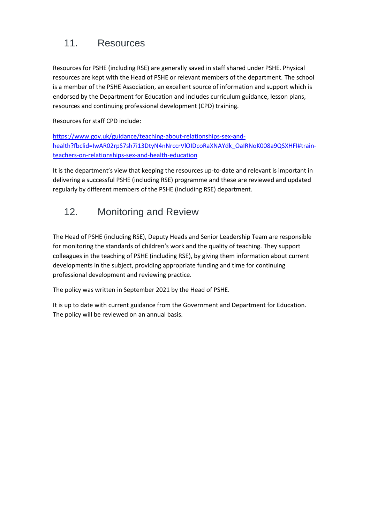# <span id="page-6-0"></span>11. Resources

Resources for PSHE (including RSE) are generally saved in staff shared under PSHE. Physical resources are kept with the Head of PSHE or relevant members of the department. The school is a member of the PSHE Association, an excellent source of information and support which is endorsed by the Department for Education and includes curriculum guidance, lesson plans, resources and continuing professional development (CPD) training.

Resources for staff CPD include:

[https://www.gov.uk/guidance/teaching-about-relationships-sex-and](https://www.gov.uk/guidance/teaching-about-relationships-sex-and-health?fbclid=IwAR02rpS7sh7i13DtyN4nNrccrVlOIDcoRaXNAYdk_OaIRNoK008a9QSXHFI#train-teachers-on-relationships-sex-and-health-education)[health?fbclid=IwAR02rpS7sh7i13DtyN4nNrccrVlOIDcoRaXNAYdk\\_OaIRNoK008a9QSXHFI#train](https://www.gov.uk/guidance/teaching-about-relationships-sex-and-health?fbclid=IwAR02rpS7sh7i13DtyN4nNrccrVlOIDcoRaXNAYdk_OaIRNoK008a9QSXHFI#train-teachers-on-relationships-sex-and-health-education)[teachers-on-relationships-sex-and-health-education](https://www.gov.uk/guidance/teaching-about-relationships-sex-and-health?fbclid=IwAR02rpS7sh7i13DtyN4nNrccrVlOIDcoRaXNAYdk_OaIRNoK008a9QSXHFI#train-teachers-on-relationships-sex-and-health-education)

It is the department's view that keeping the resources up-to-date and relevant is important in delivering a successful PSHE (including RSE) programme and these are reviewed and updated regularly by different members of the PSHE (including RSE) department.

# <span id="page-6-1"></span>12. Monitoring and Review

The Head of PSHE (including RSE), Deputy Heads and Senior Leadership Team are responsible for monitoring the standards of children's work and the quality of teaching. They support colleagues in the teaching of PSHE (including RSE), by giving them information about current developments in the subject, providing appropriate funding and time for continuing professional development and reviewing practice.

The policy was written in September 2021 by the Head of PSHE.

It is up to date with current guidance from the Government and Department for Education. The policy will be reviewed on an annual basis.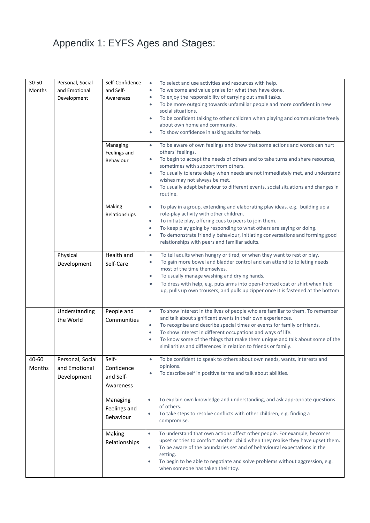# <span id="page-7-0"></span>Appendix 1: EYFS Ages and Stages:

| 30-50<br>Months | Personal, Social<br>and Emotional<br>Development | Self-Confidence<br>and Self-<br>Awareness<br>Managing<br>Feelings and<br>Behaviour | To select and use activities and resources with help.<br>$\bullet$<br>To welcome and value praise for what they have done.<br>$\bullet$<br>To enjoy the responsibility of carrying out small tasks.<br>$\bullet$<br>To be more outgoing towards unfamiliar people and more confident in new<br>٠<br>social situations.<br>To be confident talking to other children when playing and communicate freely<br>٠<br>about own home and community.<br>To show confidence in asking adults for help.<br>$\bullet$<br>To be aware of own feelings and know that some actions and words can hurt<br>$\bullet$<br>others' feelings.<br>To begin to accept the needs of others and to take turns and share resources,<br>٠<br>sometimes with support from others.<br>To usually tolerate delay when needs are not immediately met, and understand<br>$\bullet$<br>wishes may not always be met.<br>To usually adapt behaviour to different events, social situations and changes in<br>$\bullet$<br>routine. |
|-----------------|--------------------------------------------------|------------------------------------------------------------------------------------|----------------------------------------------------------------------------------------------------------------------------------------------------------------------------------------------------------------------------------------------------------------------------------------------------------------------------------------------------------------------------------------------------------------------------------------------------------------------------------------------------------------------------------------------------------------------------------------------------------------------------------------------------------------------------------------------------------------------------------------------------------------------------------------------------------------------------------------------------------------------------------------------------------------------------------------------------------------------------------------------------|
|                 |                                                  | Making<br>Relationships                                                            | To play in a group, extending and elaborating play ideas, e.g. building up a<br>$\bullet$<br>role-play activity with other children.<br>To initiate play, offering cues to peers to join them.<br>$\bullet$<br>To keep play going by responding to what others are saying or doing.<br>$\bullet$<br>To demonstrate friendly behaviour, initiating conversations and forming good<br>$\bullet$<br>relationships with peers and familiar adults.                                                                                                                                                                                                                                                                                                                                                                                                                                                                                                                                                     |
|                 | Physical<br>Development                          | <b>Health and</b><br>Self-Care                                                     | To tell adults when hungry or tired, or when they want to rest or play.<br>$\bullet$<br>To gain more bowel and bladder control and can attend to toileting needs<br>$\bullet$<br>most of the time themselves.<br>To usually manage washing and drying hands.<br>$\bullet$<br>To dress with help, e.g. puts arms into open-fronted coat or shirt when held<br>$\bullet$<br>up, pulls up own trousers, and pulls up zipper once it is fastened at the bottom.                                                                                                                                                                                                                                                                                                                                                                                                                                                                                                                                        |
|                 | Understanding<br>the World                       | People and<br>Communities                                                          | To show interest in the lives of people who are familiar to them. To remember<br>$\bullet$<br>and talk about significant events in their own experiences.<br>To recognise and describe special times or events for family or friends.<br>$\bullet$<br>To show interest in different occupations and ways of life.<br>$\bullet$<br>To know some of the things that make them unique and talk about some of the<br>$\bullet$<br>similarities and differences in relation to friends or family.                                                                                                                                                                                                                                                                                                                                                                                                                                                                                                       |
| 40-60<br>Months | Personal, Social<br>and Emotional<br>Development | Self-<br>Confidence<br>and Self-<br>Awareness                                      | To be confident to speak to others about own needs, wants, interests and<br>opinions.<br>To describe self in positive terms and talk about abilities.<br>٠                                                                                                                                                                                                                                                                                                                                                                                                                                                                                                                                                                                                                                                                                                                                                                                                                                         |
|                 |                                                  | Managing<br>Feelings and<br>Behaviour                                              | To explain own knowledge and understanding, and ask appropriate questions<br>$\bullet$<br>of others.<br>To take steps to resolve conflicts with other children, e.g. finding a<br>$\bullet$<br>compromise.                                                                                                                                                                                                                                                                                                                                                                                                                                                                                                                                                                                                                                                                                                                                                                                         |
|                 |                                                  | Making<br>Relationships                                                            | To understand that own actions affect other people. For example, becomes<br>$\bullet$<br>upset or tries to comfort another child when they realise they have upset them.<br>To be aware of the boundaries set and of behavioural expectations in the<br>$\bullet$<br>setting.<br>To begin to be able to negotiate and solve problems without aggression, e.g.<br>$\bullet$<br>when someone has taken their toy.                                                                                                                                                                                                                                                                                                                                                                                                                                                                                                                                                                                    |